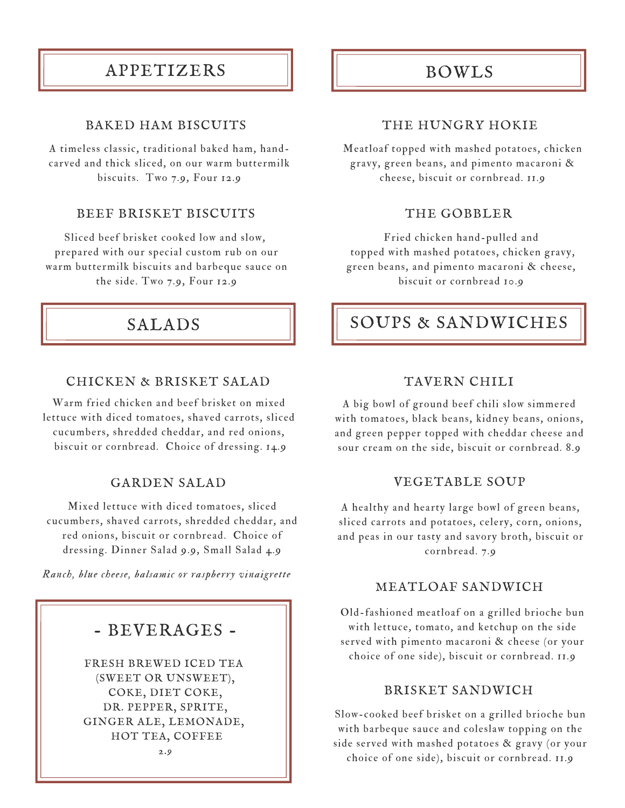# APPETIZERS

### BAKED HAM BISCUITS

A timeless classic, traditional baked ham, handcarved and thick sliced, on our warm buttermilk biscuits. Two 7.9, Four 12.9

### BEEF BRISKET BISCUITS

Sliced beef brisket cooked low and slow, prepared with our special custom rub on our warm buttermilk biscuits and barbeque sauce on the side. Two 7.9, Four 12.9

## SALADS

### CHICKEN & BRISKET SALAD

Warm fried chicken and beef brisket on mixed lettuce with diced tomatoes, shaved carrots, sliced cucumbers, shredded cheddar, and red onions, biscuit or cornbread. Choice of dressing. 14.9

#### GARDEN SALAD

Mixed lettuce with diced tomatoes, sliced cucumbers, shaved carrots, shredded cheddar, and red onions, biscuit or cornbread. Choice of dressing. Dinner Salad 9.9, Small Salad 4.9

*Ranch, blue cheese, balsamic or raspberry vinaigrette*

## - BEVERAGES -

FRESH BREWED ICED TEA (SWEET OR UNSWEET), COKE, DIET COKE, DR. PEPPER, SPRITE, GINGER ALE, LEMONADE, HOT TEA, COFFEE 2.9

## BOWLS

### THE HUNGRY HOKIE

Meatloaf topped with mashed potatoes, chicken gravy, green beans, and pimento macaroni & cheese, biscuit or cornbread. 11.9

#### THE GOBBLER

Fried chicken hand-pulled and topped with mashed potatoes, chicken gravy, green beans, and pimento macaroni & cheese, biscuit or cornbread 10.9

## SOUPS & SANDWICHES

#### TAVERN CHILI

A big bowl of ground beef chili slow simmered with tomatoes, black beans, kidney beans, onions, and green pepper topped with cheddar cheese and sour cream on the side, biscuit or cornbread. 8.9

### VEGETABLE SOUP

A healthy and hearty large bowl of green beans, sliced carrots and potatoes, celery, corn, onions, and peas in our tasty and savory broth, biscuit or cornbread. 7.9

### MEATLOAF SANDWICH

Old-fashioned meatloaf on a grilled brioche bun with lettuce, tomato, and ketchup on the side served with pimento macaroni & cheese (or your choice of one side), biscuit or cornbread. 11.9

#### BRISKET SANDWICH

Slow-cooked beef brisket on a grilled brioche bun with barbeque sauce and coleslaw topping on the side served with mashed potatoes & gravy (or your choice of one side), biscuit or cornbread. 11.9